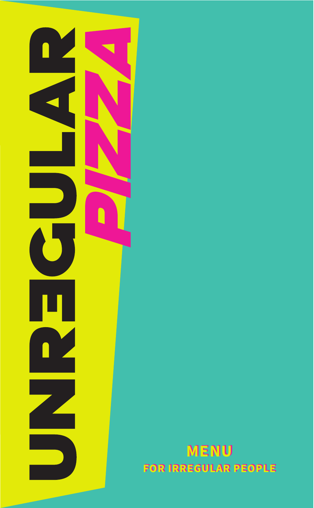

MENU FOR IRREGULAR PEOPLE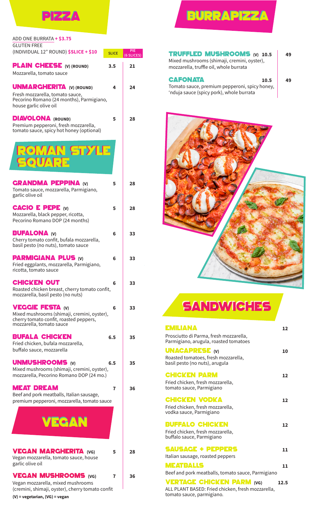

# **BURRAPIZZA**

is)

49

**TRUFFLED MUSHROOMS** (V) 10.5<br>Mixed mushrooms (shimaji, cremini, oyster), mozzarella, truffle oil, whole burrata

#### **CAFONATA**

49

 $10.5$ Tomato sauce, premium pepperoni, spicy honey, 'nduja sauce (spicy pork), whole burrata



## **SANDWICHES**

#### ΕΜΙLΙΔΝΑ

| <b>EMILIANA</b>                                                                 | 12   |
|---------------------------------------------------------------------------------|------|
| Prosciutto di Parma, fresh mozzarella,<br>Parmigiano, arugula, roasted tomatoes |      |
| <b>UNACAPRESE (V)</b>                                                           | 10   |
| Roasted tomatoes, fresh mozzarella,<br>basil pesto (no nuts), arugula           |      |
| <b>CHICKEN PARM</b>                                                             | 12   |
| Fried chicken, fresh mozzarella,<br>tomato sauce, Parmigiano                    |      |
| <b>CHICKEN VODKA</b>                                                            | 12   |
| Fried chicken, fresh mozzarella,<br>vodka sauce, Parmigiano                     |      |
| <b>BUFFALO CHICKEN</b>                                                          | 12   |
| Fried chicken, fresh mozzarella,<br>buffalo sauce, Parmigiano                   |      |
| <b>SAUSAGE + PEPPERS</b>                                                        | 11   |
| Italian sausage, roasted peppers                                                |      |
| <b>MEATBALLS</b>                                                                | 11   |
| Beef and pork meatballs, tomato sauce, Parmigiano                               |      |
| <b>VERTAGE CHICKEN PARM (VG)</b>                                                | 12.5 |

ALL PLANT BASED: Fried chicken, fresh mozzarella, tomato sauce, parmigiano.

| DD ONE BURRATA <b>+ \$3.75</b> |  |
|--------------------------------|--|
| SLUTEN FREE                    |  |

| ADD ONE BURRATA <b>+ \$3.75</b>                                                                                                              |              |                |
|----------------------------------------------------------------------------------------------------------------------------------------------|--------------|----------------|
| <b>GLUTEN FREE</b><br>(INDIVIDUAL 12" ROUND) \$SLICE + \$10                                                                                  | <b>SLICE</b> | PIE<br>(6 SLIC |
| <b>PLAIN CHEESE</b> (V) (ROUND)<br>Mozzarella, tomato sauce                                                                                  | 3.5          | 21             |
| <b>UNMARGHERITA</b> (V) (ROUND)<br>Fresh mozzarella, tomato sauce,<br>Pecorino Romano (24 months), Parmigiano,<br>house garlic olive oil     | 4            | 24             |
| <b>DIAVOLONA</b> (ROUND)<br>Premium pepperoni, fresh mozzarella,<br>tomato sauce, spicy hot honey (optional)                                 | 5            | 28             |
| OMAN STX<br>GUAE                                                                                                                             |              |                |
| <b>GRANDMA PEPPINA (V)</b><br>Tomato sauce, mozzarella, Parmigiano,<br>garlic olive oil                                                      | 5            | 28             |
| <b>CACIO E PEPE <math>(w)</math></b><br>Mozzarella, black pepper, ricotta,<br>Pecorino Romano DOP (24 months)                                | 5            | 28             |
| <b>BUFALONA</b> (v)<br>Cherry tomato confit, bufala mozzarella,<br>basil pesto (no nuts), tomato sauce                                       | 6            | 33             |
| <b>PARMIGIANA PLUS (v)</b><br>Fried eggplants, mozzarella, Parmigiano,<br>ricotta, tomato sauce                                              | 6            | 33             |
| CHICKEN OUT<br>Roasted chicken breast, cherry tomato confit,<br>mozzarella, basil pesto (no nuts)                                            | 6            | 33             |
| <b>VEGGIE FESTA (V)</b><br>Mixed mushrooms (shimaji, cremini, oyster),<br>cherry tomato confit, roasted peppers,<br>mozzarella, tomato sauce | 6            | 33             |
| Bufala Chicken<br>Fried chicken, bufala mozzarella,<br>buffalo sauce, mozzarella                                                             | 6.5          | 35             |
| UNMUSHROOMS (v)<br>Mixed mushrooms (shimaji, cremini, oyster),<br>mozzarella, Pecorino Romano DOP (24 mo.)                                   | 6.5          | 35             |
| MEAT DREAM<br>Beef and pork meatballs, Italian sausage,<br>premium pepperoni, mozzarella, tomato sauce                                       | 7            | 36             |
| VEGAN                                                                                                                                        |              |                |
| <b>VEGAN MARGHERITA (VG)</b><br>Vegan mozzarella, tomato sauce, house<br>garlic olive oil                                                    | 5            | 28             |
| <b>VEGAN MUSHROOMS (VG)</b><br>Vegan mozzarella, mixed mushrooms<br>(cremini, shimaji, oyster), cherry tomato confit                         | 7            | 36             |

(V) = vegetarian, (VG) = vegan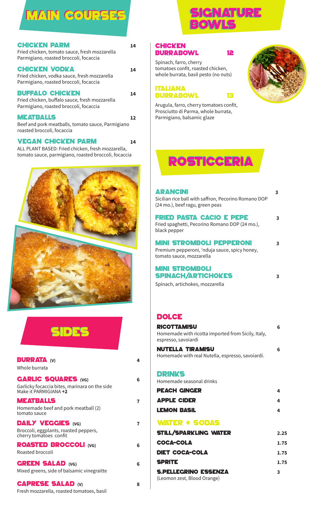## MAIN COURSES

| <b>CHICKEN PARM</b><br>Fried chicken, tomato sauce, fresh mozzarella<br>Parmigiano, roasted broccoli, focaccia     | 14 |
|--------------------------------------------------------------------------------------------------------------------|----|
| <b>CHICKEN VODKA</b><br>Fried chicken, vodka sauce, fresh mozzarella<br>Parmigiano, roasted broccoli, focaccia     | 14 |
| <b>BUFFALO CHICKEN</b><br>Fried chicken, buffalo sauce, fresh mozzarella<br>Parmigiano, roasted broccoli, focaccia | 14 |
| <b>MEATBALLS</b><br>Beef and pork meatballs, tomato sauce, Parmigiano<br>roasted broccoli, focaccia                | 12 |

#### **VEGAN CHICKEN PARM 24**

ALL PLANT BASED: Fried chicken, fresh mozzarella, tomato sauce, parmigiano, roasted broccoli, focaccia



| $\mathcal{L}^{\text{max}}_{\text{max}}$ and $\mathcal{L}^{\text{max}}_{\text{max}}$ and $\mathcal{L}^{\text{max}}_{\text{max}}$<br>$\mathcal{L}^{\text{max}}_{\text{max}}$ and $\mathcal{L}^{\text{max}}_{\text{max}}$ and $\mathcal{L}^{\text{max}}_{\text{max}}$ | $\mathcal{L}(\mathcal{L})$ and $\mathcal{L}(\mathcal{L})$ and $\mathcal{L}(\mathcal{L})$ and $\mathcal{L}(\mathcal{L})$ |
|--------------------------------------------------------------------------------------------------------------------------------------------------------------------------------------------------------------------------------------------------------------------|-------------------------------------------------------------------------------------------------------------------------|

| <b>BURRATA (V)</b><br>Whole burrata                                                                  | 4 |
|------------------------------------------------------------------------------------------------------|---|
| <b>GARLIC SQUARES (VG)</b><br>Garlicky focaccia bites, marinara on the side<br>Make it PARMIGIANA +2 | 6 |
| <b>MEATBALLS</b><br>Homemade beef and pork meatball (2)<br>tomato sauce                              | 7 |
| <b>DAILY VEGGIES (VG)</b><br>Broccoli, eggplants, roasted peppers,<br>cherry tomatoes confit         | 7 |
| <b>ROASTED BROCCOLI (VG)</b><br>Roasted broccoli                                                     | 6 |
| <b>GREEN SALAD (VG)</b><br>Mixed greens, side of balsamic vinegraitte                                | 6 |
| <b>CAPRESE SALAD (V)</b><br>Fresh mozzarella, roasted tomatoes, basil                                | 8 |



#### **CHICKEN** burrabowl 12

Spinach, farro, cherry tomatoes confit, roasted chicken, whole burrata, basil pesto (no nuts)

```
italiana
burrabowl 13
```


Arugula, farro, cherry tomatoes confit, Prosciutto di Parma, whole burrata, Parmigiano, balsamic glaze

## rosticceria

#### arancini <

Sicilian rice ball with saffron. Pecorino Romano DOP (24 mo.), beef ragu, green peas

#### FRIED PASTA CACIO E PEPE 3

Fried spaghetti, Pecorino Romano DOP (24 mo.), black pepper

#### Mini stromboli Pepperoni <

Premium pepperoni, 'nduja sauce, spicy honey, tomato sauce, mozzarella

#### Mini stromboli spinach/artichokes <

Spinach, artichokes, mozzarella

#### **DOLCE**

| <b>RICOTTAMISU</b><br>Homemade with ricotta imported from Sicily, Italy,<br>espresso, savoiardi | 6    |
|-------------------------------------------------------------------------------------------------|------|
| <b>NUTELLA TIRAMISU</b><br>Homemade with real Nutella, espresso, savoiardi.                     | 6    |
| <b>DRINKS</b><br>Homemade seasonal drinks                                                       |      |
| <b>PEACH CINGER</b>                                                                             | 4    |
| <b>APPLE CIDER</b>                                                                              | 4    |
| <b>LEMON BASIL</b>                                                                              | 4    |
| <b>WATER + SODAS</b>                                                                            |      |
| <b>STILL/SPARKLING WATER</b>                                                                    | 2.25 |
| <b>COCA-COLA</b>                                                                                | 1.75 |
| <b>DIET COCA-COLA</b>                                                                           | 1.75 |
| <b>SPRITE</b>                                                                                   | 1.75 |
| <b>S.PELLEGRINO ESSENZA</b>                                                                     | 3    |

(Leomon zest, Blood Orange)